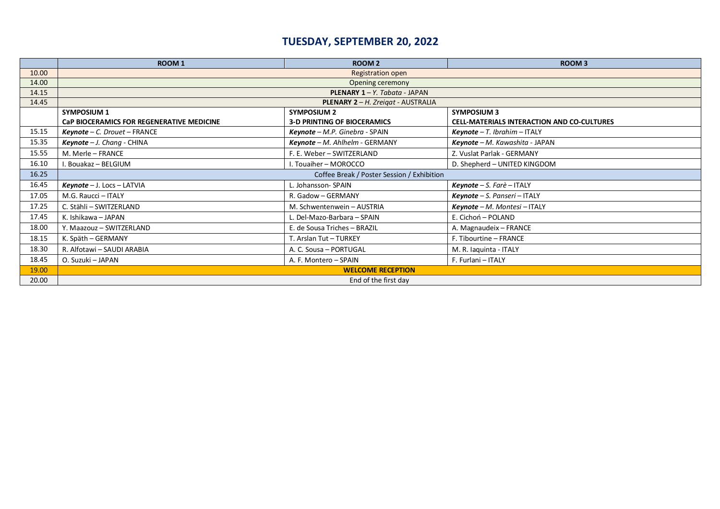# **TUESDAY, SEPTEMBER 20, 2022**

|       | <b>ROOM1</b>                               | <b>ROOM2</b>                       | <b>ROOM3</b>                                      |  |
|-------|--------------------------------------------|------------------------------------|---------------------------------------------------|--|
| 10.00 | <b>Registration open</b>                   |                                    |                                                   |  |
| 14.00 | Opening ceremony                           |                                    |                                                   |  |
| 14.15 | <b>PLENARY 1 – Y.</b> Tabata - JAPAN       |                                    |                                                   |  |
| 14.45 | PLENARY 2 - H. Zreigat - AUSTRALIA         |                                    |                                                   |  |
|       | <b>SYMPOSIUM 1</b>                         | <b>SYMPOSIUM 2</b>                 | <b>SYMPOSIUM 3</b>                                |  |
|       | CaP BIOCERAMICS FOR REGENERATIVE MEDICINE  | <b>3-D PRINTING OF BIOCERAMICS</b> | <b>CELL-MATERIALS INTERACTION AND CO-CULTURES</b> |  |
| 15.15 | $Keynote - C. Drouet - FRANCE$             | Keynote - M.P. Ginebra - SPAIN     | $Keynote - T. Ibrahim - ITALY$                    |  |
| 15.35 | $Keynote - J. Chang - CHINA$               | Keynote - M. Ahlhelm - GERMANY     | Keynote - M. Kawashita - JAPAN                    |  |
| 15.55 | M. Merle - FRANCE                          | F. E. Weber - SWITZERLAND          | Z. Vuslat Parlak - GERMANY                        |  |
| 16.10 | . Bouakaz - BELGIUM                        | . Touaiher - MOROCCO               | D. Shepherd - UNITED KINGDOM                      |  |
| 16.25 | Coffee Break / Poster Session / Exhibition |                                    |                                                   |  |
| 16.45 | $Keynote - J.$ Locs $-$ LATVIA             | L. Johansson- SPAIN                | <b>Keynote</b> – S. Farè – ITALY                  |  |
| 17.05 | M.G. Raucci - ITALY                        | R. Gadow - GERMANY                 | $Keynote - S. Panseri - ITALY$                    |  |
| 17.25 | C. Stähli - SWITZERLAND                    | M. Schwentenwein - AUSTRIA         | $Keynote - M. Montesi - ITALY$                    |  |
| 17.45 | K. Ishikawa - JAPAN                        | L. Del-Mazo-Barbara - SPAIN        | E. Cichoń - POLAND                                |  |
| 18.00 | Y. Maazouz - SWITZERLAND                   | E. de Sousa Triches - BRAZIL       | A. Magnaudeix - FRANCE                            |  |
| 18.15 | K. Späth - GERMANY                         | T. Arslan Tut - TURKEY             | F. Tibourtine - FRANCE                            |  |
| 18.30 | R. Alfotawi - SAUDI ARABIA                 | A. C. Sousa - PORTUGAL             | M. R. laquinta - ITALY                            |  |
| 18.45 | O. Suzuki - JAPAN                          | A. F. Montero - SPAIN              | F. Furlani - ITALY                                |  |
| 19.00 | <b>WELCOME RECEPTION</b>                   |                                    |                                                   |  |
| 20.00 | End of the first day                       |                                    |                                                   |  |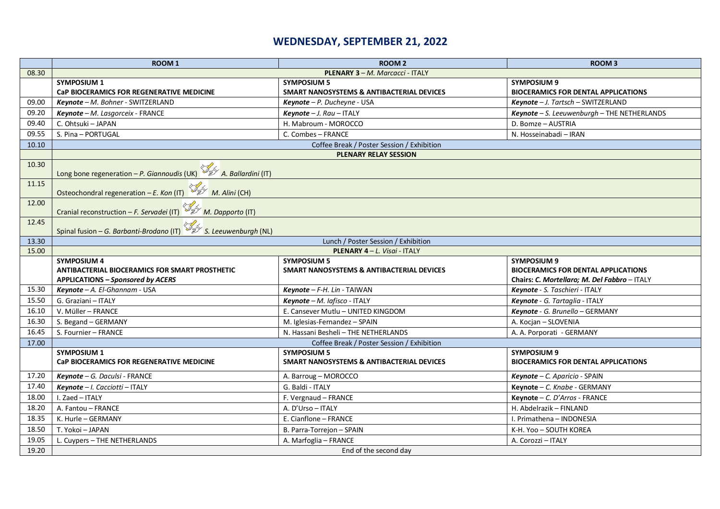## **WEDNESDAY, SEPTEMBER 21, 2022**

|       | <b>ROOM1</b>                                                                                                     | <b>ROOM 2</b>                                                              | <b>ROOM3</b>                                                                                                     |  |  |
|-------|------------------------------------------------------------------------------------------------------------------|----------------------------------------------------------------------------|------------------------------------------------------------------------------------------------------------------|--|--|
| 08.30 | PLENARY 3 - M. Marcacci - ITALY                                                                                  |                                                                            |                                                                                                                  |  |  |
|       | <b>SYMPOSIUM 1</b>                                                                                               | <b>SYMPOSIUM 5</b>                                                         | <b>SYMPOSIUM 9</b>                                                                                               |  |  |
|       | CaP BIOCERAMICS FOR REGENERATIVE MEDICINE                                                                        | <b>SMART NANOSYSTEMS &amp; ANTIBACTERIAL DEVICES</b>                       | <b>BIOCERAMICS FOR DENTAL APPLICATIONS</b>                                                                       |  |  |
| 09.00 | Keynote - M. Bohner - SWITZERLAND                                                                                | $Keynote - P. Ducheyne - USA$                                              | $Keynote - J. Tartsch - SWITZERLAND$                                                                             |  |  |
| 09.20 | Keynote - M. Lasgorceix - FRANCE                                                                                 | $Keynote - J. Rau - ITALY$                                                 | Keynote - S. Leeuwenburgh - THE NETHERLANDS                                                                      |  |  |
| 09.40 | C. Ohtsuki - JAPAN                                                                                               | H. Mabroum - MOROCCO                                                       | D. Bomze - AUSTRIA                                                                                               |  |  |
| 09.55 | S. Pina - PORTUGAL                                                                                               | C. Combes - FRANCE                                                         | N. Hosseinabadi - IRAN                                                                                           |  |  |
| 10.10 | Coffee Break / Poster Session / Exhibition                                                                       |                                                                            |                                                                                                                  |  |  |
|       | <b>PLENARY RELAY SESSION</b>                                                                                     |                                                                            |                                                                                                                  |  |  |
| 10.30 | Long bone regeneration – P. Giannoudis (UK) $\frac{1}{2}$ A. Ballardini (IT)                                     |                                                                            |                                                                                                                  |  |  |
| 11.15 | Osteochondral regeneration - E. Kon (IT) $W \to W$ M. Alini (CH)                                                 |                                                                            |                                                                                                                  |  |  |
| 12.00 |                                                                                                                  |                                                                            |                                                                                                                  |  |  |
| 12.45 | Spinal fusion – G. Barbanti-Brodano (IT) $\frac{1}{2}$ S. Leeuwenburgh (NL)                                      |                                                                            |                                                                                                                  |  |  |
| 13.30 | Lunch / Poster Session / Exhibition                                                                              |                                                                            |                                                                                                                  |  |  |
| 15.00 |                                                                                                                  | <b>PLENARY 4 – L. Visai - ITALY</b>                                        |                                                                                                                  |  |  |
|       | <b>SYMPOSIUM 4</b><br>ANTIBACTERIAL BIOCERAMICS FOR SMART PROSTHETIC<br><b>APPLICATIONS - Sponsored by ACERS</b> | <b>SYMPOSIUM 5</b><br><b>SMART NANOSYSTEMS &amp; ANTIBACTERIAL DEVICES</b> | <b>SYMPOSIUM 9</b><br><b>BIOCERAMICS FOR DENTAL APPLICATIONS</b><br>Chairs: C. Mortellaro; M. Del Fabbro - ITALY |  |  |
| 15.30 | Keynote - A. El-Ghannam - USA                                                                                    | Keynote - F-H. Lin - TAIWAN                                                | Keynote - S. Taschieri - ITALY                                                                                   |  |  |
| 15.50 | G. Graziani - ITALY                                                                                              | Keynote - M. lafisco - ITALY                                               | Keynote - G. Tartaglia - ITALY                                                                                   |  |  |
| 16.10 | V. Müller - FRANCE                                                                                               | E. Cansever Mutlu - UNITED KINGDOM                                         | Keynote - G. Brunello - GERMANY                                                                                  |  |  |
| 16.30 | S. Begand - GERMANY                                                                                              | M. Iglesias-Fernandez - SPAIN                                              | A. Kocjan - SLOVENIA                                                                                             |  |  |
| 16.45 |                                                                                                                  |                                                                            |                                                                                                                  |  |  |
| 17.00 | S. Fournier - FRANCE                                                                                             | N. Hassani Besheli - THE NETHERLANDS                                       |                                                                                                                  |  |  |
|       |                                                                                                                  | Coffee Break / Poster Session / Exhibition                                 | A. A. Porporati - GERMANY                                                                                        |  |  |
|       | <b>SYMPOSIUM 1</b>                                                                                               | <b>SYMPOSIUM 5</b>                                                         | <b>SYMPOSIUM 9</b>                                                                                               |  |  |
|       | CaP BIOCERAMICS FOR REGENERATIVE MEDICINE                                                                        | SMART NANOSYSTEMS & ANTIBACTERIAL DEVICES                                  | <b>BIOCERAMICS FOR DENTAL APPLICATIONS</b>                                                                       |  |  |
| 17.20 | Keynote - G. Daculsi - FRANCE                                                                                    | A. Barroug - MOROCCO                                                       | Keynote - C. Aparicio - SPAIN                                                                                    |  |  |
| 17.40 | Keynote - I. Cacciotti - ITALY                                                                                   | G. Baldi - ITALY                                                           | Keynote - C. Knabe - GERMANY                                                                                     |  |  |
| 18.00 | I. Zaed - ITALY                                                                                                  | F. Vergnaud - FRANCE                                                       | Keynote - C. D'Arros - FRANCE                                                                                    |  |  |
| 18.20 | A. Fantou - FRANCE                                                                                               | A. D'Urso - ITALY                                                          | H. Abdelrazik - FINLAND                                                                                          |  |  |
| 18.35 | K. Hurle - GERMANY                                                                                               | E. Cianflone - FRANCE                                                      | I. Primathena - INDONESIA                                                                                        |  |  |
| 18.50 | T. Yokoi - JAPAN                                                                                                 | B. Parra-Torrejon - SPAIN                                                  | K-H. Yoo - SOUTH KOREA                                                                                           |  |  |
| 19.05 | L. Cuypers - THE NETHERLANDS                                                                                     | A. Marfoglia - FRANCE                                                      | A. Corozzi - ITALY                                                                                               |  |  |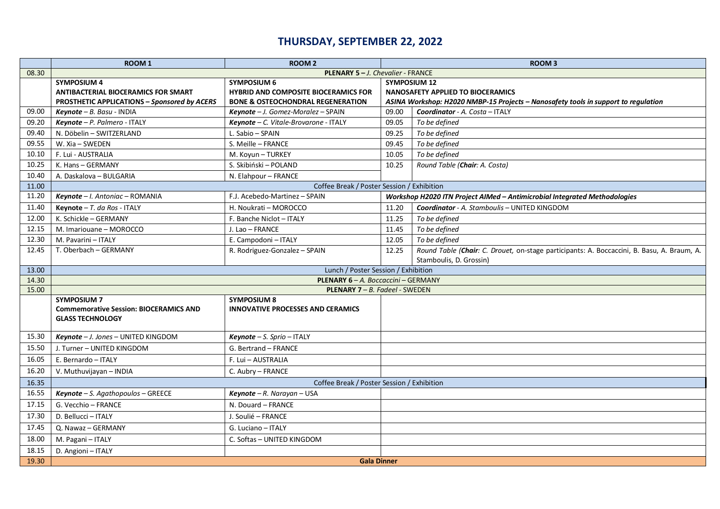## **THURSDAY, SEPTEMBER 22, 2022**

|       | <b>ROOM1</b>                                                        | <b>ROOM 2</b>                                                  |                                          | ROOM <sub>3</sub>                                                                          |
|-------|---------------------------------------------------------------------|----------------------------------------------------------------|------------------------------------------|--------------------------------------------------------------------------------------------|
| 08.30 | PLENARY 5-J. Chevalier - FRANCE                                     |                                                                |                                          |                                                                                            |
|       | <b>SYMPOSIUM 4</b>                                                  | <b>SYMPOSIUM 6</b>                                             | <b>SYMPOSIUM 12</b>                      |                                                                                            |
|       | <b>ANTIBACTERIAL BIOCERAMICS FOR SMART</b>                          | <b>HYBRID AND COMPOSITE BIOCERAMICS FOR</b>                    | <b>NANOSAFETY APPLIED TO BIOCERAMICS</b> |                                                                                            |
|       | PROSTHETIC APPLICATIONS - Sponsored by ACERS                        | <b>BONE &amp; OSTEOCHONDRAL REGENERATION</b>                   |                                          | ASINA Workshop: H2020 NMBP-15 Projects - Nanosafety tools in support to regulation         |
| 09.00 | $Keynote - B. Basu - INDIA$                                         | Keynote - J. Gomez-Moralez - SPAIN                             | 09.00                                    | Coordinator - A. Costa - ITALY                                                             |
| 09.20 | Keynote - P. Palmero - ITALY                                        | Keynote - C. Vitale-Brovarone - ITALY                          | 09.05                                    | To be defined                                                                              |
| 09.40 | N. Döbelin - SWITZERLAND                                            | L. Sabio - SPAIN                                               | 09.25                                    | To be defined                                                                              |
| 09.55 | W. Xia - SWEDEN                                                     | S. Meille - FRANCE                                             | 09.45                                    | To be defined                                                                              |
| 10.10 | F. Lui - AUSTRALIA                                                  | M. Koyun - TURKEY                                              | 10.05                                    | To be defined                                                                              |
| 10.25 | K. Hans - GERMANY                                                   | S. Skibiński - POLAND                                          | 10.25                                    | Round Table (Chair: A. Costa)                                                              |
| 10.40 | A. Daskalova - BULGARIA                                             | N. Elahpour - FRANCE                                           |                                          |                                                                                            |
| 11.00 |                                                                     | Coffee Break / Poster Session / Exhibition                     |                                          |                                                                                            |
| 11.20 | Keynote - I. Antoniac - ROMANIA                                     | F.J. Acebedo-Martinez - SPAIN                                  |                                          | Workshop H2020 ITN Project AIMed - Antimicrobial Integrated Methodologies                  |
| 11.40 | Keynote $-$ T. da Ros - ITALY                                       | H. Noukrati - MOROCCO                                          | 11.20                                    | <b>Coordinator</b> - A. Stamboulis - UNITED KINGDOM                                        |
| 12.00 | K. Schickle - GERMANY                                               | F. Banche Niclot - ITALY                                       | 11.25                                    | To be defined                                                                              |
| 12.15 | M. Imariouane - MOROCCO                                             | J. Lao - FRANCE                                                | 11.45                                    | To be defined                                                                              |
| 12.30 | M. Pavarini - ITALY                                                 | E. Campodoni - ITALY                                           | 12.05                                    | To be defined                                                                              |
| 12.45 | T. Oberbach - GERMANY                                               | R. Rodriguez-Gonzalez - SPAIN                                  | 12.25                                    | Round Table (Chair: C. Drouet, on-stage participants: A. Boccaccini, B. Basu, A. Braum, A. |
|       |                                                                     |                                                                |                                          | Stamboulis, D. Grossin)                                                                    |
| 13.00 |                                                                     | Lunch / Poster Session / Exhibition                            |                                          |                                                                                            |
| 14.30 | PLENARY 6 - A. Boccaccini - GERMANY                                 |                                                                |                                          |                                                                                            |
| 15.00 |                                                                     | <b>PLENARY 7 – B. Fadeel - SWEDEN</b>                          |                                          |                                                                                            |
|       | <b>SYMPOSIUM 7</b><br><b>Commemorative Session: BIOCERAMICS AND</b> | <b>SYMPOSIUM 8</b><br><b>INNOVATIVE PROCESSES AND CERAMICS</b> |                                          |                                                                                            |
|       | <b>GLASS TECHNOLOGY</b>                                             |                                                                |                                          |                                                                                            |
|       |                                                                     |                                                                |                                          |                                                                                            |
| 15.30 | Keynote - J. Jones - UNITED KINGDOM                                 | $Keynote - S. Sprio - ITALY$                                   |                                          |                                                                                            |
| 15.50 | J. Turner - UNITED KINGDOM                                          | G. Bertrand - FRANCE                                           |                                          |                                                                                            |
| 16.05 | E. Bernardo - ITALY                                                 | F. Lui - AUSTRALIA                                             |                                          |                                                                                            |
| 16.20 | V. Muthuvijayan - INDIA                                             | C. Aubry - FRANCE                                              |                                          |                                                                                            |
| 16.35 | Coffee Break / Poster Session / Exhibition                          |                                                                |                                          |                                                                                            |
| 16.55 | <b>Keynote</b> $-$ S. Agathopoulos $-$ GREECE                       | Keynote - R. Narayan - USA                                     |                                          |                                                                                            |
| 17.15 | G. Vecchio - FRANCE                                                 | N. Douard - FRANCE                                             |                                          |                                                                                            |
| 17.30 | D. Bellucci - ITALY                                                 | J. Soulié - FRANCE                                             |                                          |                                                                                            |
| 17.45 | Q. Nawaz - GERMANY                                                  | G. Luciano - ITALY                                             |                                          |                                                                                            |
| 18.00 | M. Pagani - ITALY                                                   | C. Softas - UNITED KINGDOM                                     |                                          |                                                                                            |
| 18.15 | D. Angioni - ITALY                                                  |                                                                |                                          |                                                                                            |
| 19.30 |                                                                     | <b>Gala Dinner</b>                                             |                                          |                                                                                            |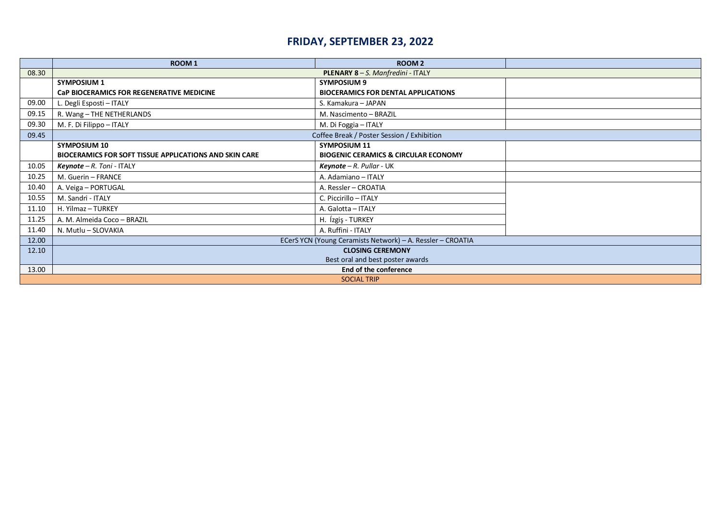## **FRIDAY, SEPTEMBER 23, 2022**

|                    | ROOM <sub>1</sub>                                          | ROOM <sub>2</sub>                               |  |  |
|--------------------|------------------------------------------------------------|-------------------------------------------------|--|--|
| 08.30              | PLENARY 8-S. Manfredini - ITALY                            |                                                 |  |  |
|                    | <b>SYMPOSIUM 1</b>                                         | <b>SYMPOSIUM 9</b>                              |  |  |
|                    | CaP BIOCERAMICS FOR REGENERATIVE MEDICINE                  | <b>BIOCERAMICS FOR DENTAL APPLICATIONS</b>      |  |  |
| 09.00              | L. Degli Esposti - ITALY                                   | S. Kamakura - JAPAN                             |  |  |
| 09.15              | R. Wang - THE NETHERLANDS                                  | M. Nascimento - BRAZIL                          |  |  |
| 09.30              | M. F. Di Filippo - ITALY                                   | M. Di Foggia - ITALY                            |  |  |
| 09.45              | Coffee Break / Poster Session / Exhibition                 |                                                 |  |  |
|                    | <b>SYMPOSIUM 10</b>                                        | <b>SYMPOSIUM 11</b>                             |  |  |
|                    | BIOCERAMICS FOR SOFT TISSUE APPLICATIONS AND SKIN CARE     | <b>BIOGENIC CERAMICS &amp; CIRCULAR ECONOMY</b> |  |  |
| 10.05              | <b>Keynote</b> $-R$ . Toni - ITALY                         | $Keynote - R. Pullar - UK$                      |  |  |
| 10.25              | M. Guerin - FRANCE                                         | A. Adamiano - ITALY                             |  |  |
| 10.40              | A. Veiga - PORTUGAL                                        | A. Ressler - CROATIA                            |  |  |
| 10.55              | M. Sandri - ITALY                                          | C. Piccirillo - ITALY                           |  |  |
| 11.10              | H. Yilmaz - TURKEY                                         | A. Galotta - ITALY                              |  |  |
| 11.25              | A. M. Almeida Coco - BRAZIL                                | H. Ízgiş - TURKEY                               |  |  |
| 11.40              | N. Mutlu - SLOVAKIA                                        | A. Ruffini - ITALY                              |  |  |
| 12.00              | ECerS YCN (Young Ceramists Network) - A. Ressler - CROATIA |                                                 |  |  |
| 12.10              | <b>CLOSING CEREMONY</b>                                    |                                                 |  |  |
|                    | Best oral and best poster awards                           |                                                 |  |  |
| 13.00              | End of the conference                                      |                                                 |  |  |
| <b>SOCIAL TRIP</b> |                                                            |                                                 |  |  |